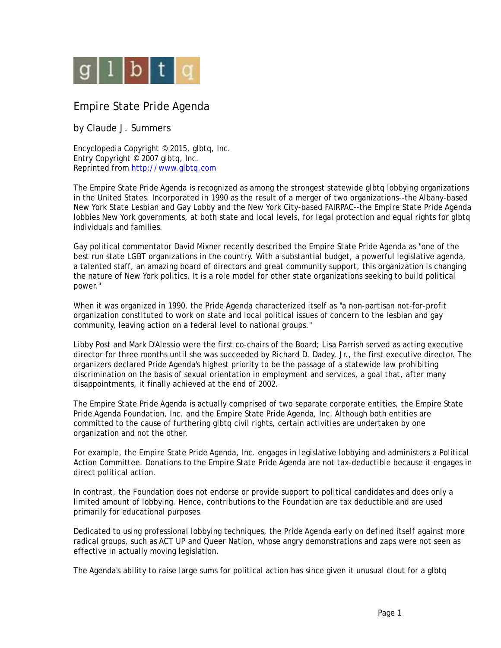

## Empire State Pride Agenda

by Claude J. Summers

Encyclopedia Copyright © 2015, glbtq, Inc. Entry Copyright © 2007 glbtq, Inc. Reprinted fro[m http://www.glbtq.com](http://www.glbtq.com)

The Empire State Pride Agenda is recognized as among the strongest statewide glbtq lobbying organizations in the United States. Incorporated in 1990 as the result of a merger of two organizations--the Albany-based New York State Lesbian and Gay Lobby and the New York City-based FAIRPAC--the Empire State Pride Agenda lobbies New York governments, at both state and local levels, for legal protection and equal rights for glbtq individuals and families.

Gay political commentator David Mixner recently described the Empire State Pride Agenda as "one of the best run state LGBT organizations in the country. With a substantial budget, a powerful legislative agenda, a talented staff, an amazing board of directors and great community support, this organization is changing the nature of New York politics. It is a role model for other state organizations seeking to build political power."

When it was organized in 1990, the Pride Agenda characterized itself as "a non-partisan not-for-profit organization constituted to work on state and local political issues of concern to the lesbian and gay community, leaving action on a federal level to national groups."

Libby Post and Mark D'Alessio were the first co-chairs of the Board; Lisa Parrish served as acting executive director for three months until she was succeeded by Richard D. Dadey, Jr., the first executive director. The organizers declared Pride Agenda's highest priority to be the passage of a statewide law prohibiting discrimination on the basis of sexual orientation in employment and services, a goal that, after many disappointments, it finally achieved at the end of 2002.

The Empire State Pride Agenda is actually comprised of two separate corporate entities, the Empire State Pride Agenda Foundation, Inc. and the Empire State Pride Agenda, Inc. Although both entities are committed to the cause of furthering glbtq civil rights, certain activities are undertaken by one organization and not the other.

For example, the Empire State Pride Agenda, Inc. engages in legislative lobbying and administers a Political Action Committee. Donations to the Empire State Pride Agenda are not tax-deductible because it engages in direct political action.

In contrast, the Foundation does not endorse or provide support to political candidates and does only a limited amount of lobbying. Hence, contributions to the Foundation are tax deductible and are used primarily for educational purposes.

Dedicated to using professional lobbying techniques, the Pride Agenda early on defined itself against more radical groups, such as ACT UP and Queer Nation, whose angry demonstrations and zaps were not seen as effective in actually moving legislation.

The Agenda's ability to raise large sums for political action has since given it unusual clout for a glbtq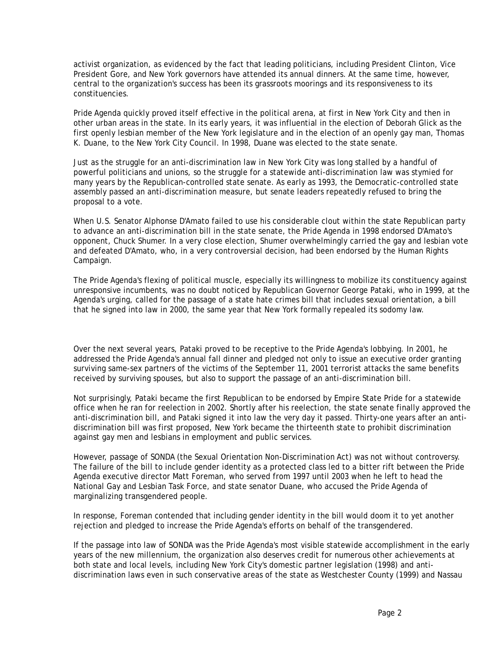activist organization, as evidenced by the fact that leading politicians, including President Clinton, Vice President Gore, and New York governors have attended its annual dinners. At the same time, however, central to the organization's success has been its grassroots moorings and its responsiveness to its constituencies.

Pride Agenda quickly proved itself effective in the political arena, at first in New York City and then in other urban areas in the state. In its early years, it was influential in the election of Deborah Glick as the first openly lesbian member of the New York legislature and in the election of an openly gay man, Thomas K. Duane, to the New York City Council. In 1998, Duane was elected to the state senate.

Just as the struggle for an anti-discrimination law in New York City was long stalled by a handful of powerful politicians and unions, so the struggle for a statewide anti-discrimination law was stymied for many years by the Republican-controlled state senate. As early as 1993, the Democratic-controlled state assembly passed an anti-discrimination measure, but senate leaders repeatedly refused to bring the proposal to a vote.

When U.S. Senator Alphonse D'Amato failed to use his considerable clout within the state Republican party to advance an anti-discrimination bill in the state senate, the Pride Agenda in 1998 endorsed D'Amato's opponent, Chuck Shumer. In a very close election, Shumer overwhelmingly carried the gay and lesbian vote and defeated D'Amato, who, in a very controversial decision, had been endorsed by the Human Rights Campaign.

The Pride Agenda's flexing of political muscle, especially its willingness to mobilize its constituency against unresponsive incumbents, was no doubt noticed by Republican Governor George Pataki, who in 1999, at the Agenda's urging, called for the passage of a state hate crimes bill that includes sexual orientation, a bill that he signed into law in 2000, the same year that New York formally repealed its sodomy law.

Over the next several years, Pataki proved to be receptive to the Pride Agenda's lobbying. In 2001, he addressed the Pride Agenda's annual fall dinner and pledged not only to issue an executive order granting surviving same-sex partners of the victims of the September 11, 2001 terrorist attacks the same benefits received by surviving spouses, but also to support the passage of an anti-discrimination bill.

Not surprisingly, Pataki became the first Republican to be endorsed by Empire State Pride for a statewide office when he ran for reelection in 2002. Shortly after his reelection, the state senate finally approved the anti-discrimination bill, and Pataki signed it into law the very day it passed. Thirty-one years after an antidiscrimination bill was first proposed, New York became the thirteenth state to prohibit discrimination against gay men and lesbians in employment and public services.

However, passage of SONDA (the Sexual Orientation Non-Discrimination Act) was not without controversy. The failure of the bill to include gender identity as a protected class led to a bitter rift between the Pride Agenda executive director Matt Foreman, who served from 1997 until 2003 when he left to head the National Gay and Lesbian Task Force, and state senator Duane, who accused the Pride Agenda of marginalizing transgendered people.

In response, Foreman contended that including gender identity in the bill would doom it to yet another rejection and pledged to increase the Pride Agenda's efforts on behalf of the transgendered.

If the passage into law of SONDA was the Pride Agenda's most visible statewide accomplishment in the early years of the new millennium, the organization also deserves credit for numerous other achievements at both state and local levels, including New York City's domestic partner legislation (1998) and antidiscrimination laws even in such conservative areas of the state as Westchester County (1999) and Nassau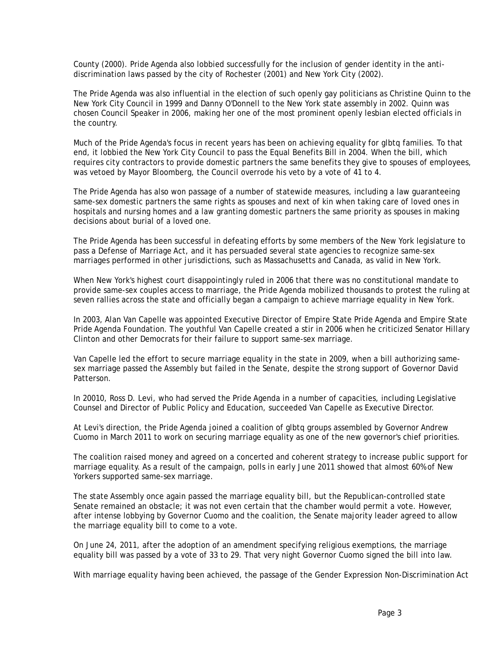County (2000). Pride Agenda also lobbied successfully for the inclusion of gender identity in the antidiscrimination laws passed by the city of Rochester (2001) and New York City (2002).

The Pride Agenda was also influential in the election of such openly gay politicians as Christine Quinn to the New York City Council in 1999 and Danny O'Donnell to the New York state assembly in 2002. Quinn was chosen Council Speaker in 2006, making her one of the most prominent openly lesbian elected officials in the country.

Much of the Pride Agenda's focus in recent years has been on achieving equality for glbtq families. To that end, it lobbied the New York City Council to pass the Equal Benefits Bill in 2004. When the bill, which requires city contractors to provide domestic partners the same benefits they give to spouses of employees, was vetoed by Mayor Bloomberg, the Council overrode his veto by a vote of 41 to 4.

The Pride Agenda has also won passage of a number of statewide measures, including a law guaranteeing same-sex domestic partners the same rights as spouses and next of kin when taking care of loved ones in hospitals and nursing homes and a law granting domestic partners the same priority as spouses in making decisions about burial of a loved one.

The Pride Agenda has been successful in defeating efforts by some members of the New York legislature to pass a Defense of Marriage Act, and it has persuaded several state agencies to recognize same-sex marriages performed in other jurisdictions, such as Massachusetts and Canada, as valid in New York.

When New York's highest court disappointingly ruled in 2006 that there was no constitutional mandate to provide same-sex couples access to marriage, the Pride Agenda mobilized thousands to protest the ruling at seven rallies across the state and officially began a campaign to achieve marriage equality in New York.

In 2003, Alan Van Capelle was appointed Executive Director of Empire State Pride Agenda and Empire State Pride Agenda Foundation. The youthful Van Capelle created a stir in 2006 when he criticized Senator Hillary Clinton and other Democrats for their failure to support same-sex marriage.

Van Capelle led the effort to secure marriage equality in the state in 2009, when a bill authorizing samesex marriage passed the Assembly but failed in the Senate, despite the strong support of Governor David Patterson.

In 20010, Ross D. Levi, who had served the Pride Agenda in a number of capacities, including Legislative Counsel and Director of Public Policy and Education, succeeded Van Capelle as Executive Director.

At Levi's direction, the Pride Agenda joined a coalition of glbtq groups assembled by Governor Andrew Cuomo in March 2011 to work on securing marriage equality as one of the new governor's chief priorities.

The coalition raised money and agreed on a concerted and coherent strategy to increase public support for marriage equality. As a result of the campaign, polls in early June 2011 showed that almost 60% of New Yorkers supported same-sex marriage.

The state Assembly once again passed the marriage equality bill, but the Republican-controlled state Senate remained an obstacle; it was not even certain that the chamber would permit a vote. However, after intense lobbying by Governor Cuomo and the coalition, the Senate majority leader agreed to allow the marriage equality bill to come to a vote.

On June 24, 2011, after the adoption of an amendment specifying religious exemptions, the marriage equality bill was passed by a vote of 33 to 29. That very night Governor Cuomo signed the bill into law.

With marriage equality having been achieved, the passage of the Gender Expression Non-Discrimination Act